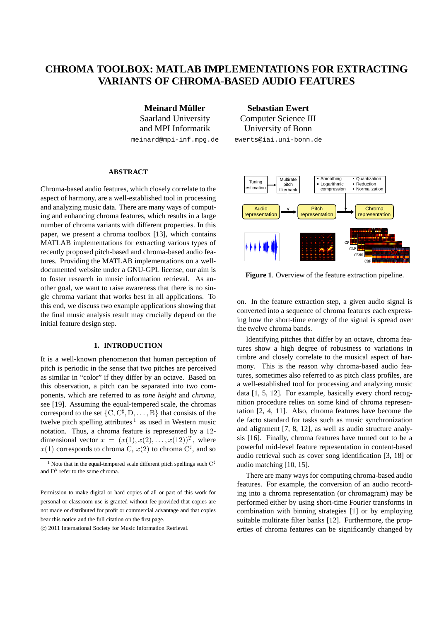# **CHROMA TOOLBOX: MATLAB IMPLEMENTATIONS FOR EXTRACTING VARIANTS OF CHROMA-BASED AUDIO FEATURES**

**Meinard Müller** Saarland University and MPI Informatik meinard@mpi-inf.mpg.de

**Sebastian Ewert** Computer Science III University of Bonn

ewerts@iai.uni-bonn.de

## **ABSTRACT**

Chroma-based audio features, which closely correlate to the aspect of harmony, are a well-established tool in processing and analyzing music data. There are many ways of computing and enhancing chroma features, which results in a large number of chroma variants with different properties. In this paper, we present a chroma toolbox [13], which contains MATLAB implementations for extracting various types of recently proposed pitch-based and chroma-based audio features. Providing the MATLAB implementations on a welldocumented website under a GNU-GPL license, our aim is to foster research in music information retrieval. As another goal, we want to raise awareness that there is no single chroma variant that works best in all applications. To this end, we discuss two example applications showing that the final music analysis result may crucially depend on the initial feature design step.

## **1. INTRODUCTION**

It is a well-known phenomenon that human perception of pitch is periodic in the sense that two pitches are perceived as similar in "color" if they differ by an octave. Based on this observation, a pitch can be separated into two components, which are referred to as *tone height* and *chroma*, see [19]. Assuming the equal-tempered scale, the chromas correspond to the set  $\{C, C^{\sharp}, D, \ldots, B\}$  that consists of the twelve pitch spelling attributes  $1$  as used in Western music notation. Thus, a chroma feature is represented by a 12 dimensional vector  $x = (x(1), x(2), \ldots, x(12))^T$ , where  $x(1)$  corresponds to chroma C,  $x(2)$  to chroma C<sup>#</sup>, and so

CP CLP CENS CRP Audio representation Pitch representation Chroma representation Tuning stimation **Multirate** pitch filterhank **Smoothing Logarithmic** compression **Quantization Reduction** Normalization

**Figure 1**. Overview of the feature extraction pipeline.

on. In the feature extraction step, a given audio signal is converted into a sequence of chroma features each expressing how the short-time energy of the signal is spread over the twelve chroma bands.

Identifying pitches that differ by an octave, chroma features show a high degree of robustness to variations in timbre and closely correlate to the musical aspect of harmony. This is the reason why chroma-based audio features, sometimes also referred to as pitch class profiles, are a well-established tool for processing and analyzing music data [1, 5, 12]. For example, basically every chord recognition procedure relies on some kind of chroma representation [2, 4, 11]. Also, chroma features have become the de facto standard for tasks such as music synchronization and alignment [7, 8, 12], as well as audio structure analysis [16]. Finally, chroma features have turned out to be a powerful mid-level feature representation in content-based audio retrieval such as cover song identification [3, 18] or audio matching [10, 15].

There are many ways for computing chroma-based audio features. For example, the conversion of an audio recording into a chroma representation (or chromagram) may be performed either by using short-time Fourier transforms in combination with binning strategies [1] or by employing suitable multirate filter banks [12]. Furthermore, the properties of chroma features can be significantly changed by

<sup>&</sup>lt;sup>1</sup> Note that in the equal-tempered scale different pitch spellings such  $C^{\sharp}$ and  $D^{\flat}$  refer to the same chroma.

Permission to make digital or hard copies of all or part of this work for personal or classroom use is granted without fee provided that copies are not made or distributed for profit or commercial advantage and that copies bear this notice and the full citation on the first page.

c 2011 International Society for Music Information Retrieval.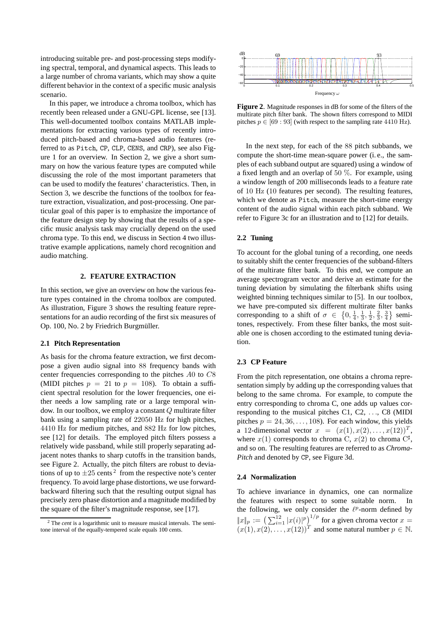introducing suitable pre- and post-processing steps modifying spectral, temporal, and dynamical aspects. This leads to a large number of chroma variants, which may show a quite different behavior in the context of a specific music analysis scenario.

In this paper, we introduce a chroma toolbox, which has recently been released under a GNU-GPL license, see [13]. This well-documented toolbox contains MATLAB implementations for extracting various types of recently introduced pitch-based and chroma-based audio features (referred to as Pitch, CP, CLP, CENS, and CRP), see also Figure 1 for an overview. In Section 2, we give a short summary on how the various feature types are computed while discussing the role of the most important parameters that can be used to modify the features' characteristics. Then, in Section 3, we describe the functions of the toolbox for feature extraction, visualization, and post-processing. One particular goal of this paper is to emphasize the importance of the feature design step by showing that the results of a specific music analysis task may crucially depend on the used chroma type. To this end, we discuss in Section 4 two illustrative example applications, namely chord recognition and audio matching.

### **2. FEATURE EXTRACTION**

In this section, we give an overview on how the various feature types contained in the chroma toolbox are computed. As illustration, Figure 3 shows the resulting feature representations for an audio recording of the first six measures of Op. 100, No. 2 by Friedrich Burgmüller.

#### **2.1 Pitch Representation**

As basis for the chroma feature extraction, we first decompose a given audio signal into 88 frequency bands with center frequencies corresponding to the pitches A0 to C8 (MIDI pitches  $p = 21$  to  $p = 108$ ). To obtain a sufficient spectral resolution for the lower frequencies, one either needs a low sampling rate or a large temporal window. In our toolbox, we employ a constant Q multirate filter bank using a sampling rate of 22050 Hz for high pitches, 4410 Hz for medium pitches, and 882 Hz for low pitches, see [12] for details. The employed pitch filters possess a relatively wide passband, while still properly separating adjacent notes thanks to sharp cutoffs in the transition bands, see Figure 2. Actually, the pitch filters are robust to deviations of up to  $\pm 25$  cents<sup>2</sup> from the respective note's center frequency. To avoid large phase distortions, we use forwardbackward filtering such that the resulting output signal has precisely zero phase distortion and a magnitude modified by the square of the filter's magnitude response, see [17].



**Figure 2**. Magnitude responses in dB for some of the filters of the multirate pitch filter bank. The shown filters correspond to MIDI pitches  $p \in [69:93]$  (with respect to the sampling rate 4410 Hz).

In the next step, for each of the 88 pitch subbands, we compute the short-time mean-square power (i. e., the samples of each subband output are squared) using a window of a fixed length and an overlap of 50 %. For example, using a window length of 200 milliseconds leads to a feature rate of 10 Hz (10 features per second). The resulting features, which we denote as Pitch, measure the short-time energy content of the audio signal within each pitch subband. We refer to Figure 3c for an illustration and to [12] for details.

## **2.2 Tuning**

To account for the global tuning of a recording, one needs to suitably shift the center frequencies of the subband-filters of the multirate filter bank. To this end, we compute an average spectrogram vector and derive an estimate for the tuning deviation by simulating the filterbank shifts using weighted binning techniques similar to [5]. In our toolbox, we have pre-computed six different multirate filter banks corresponding to a shift of  $\sigma \in \{0, \frac{1}{4}, \frac{1}{3}, \frac{1}{2}, \frac{2}{3}, \frac{3}{4}\}$  semitones, respectively. From these filter banks, the most suitable one is chosen according to the estimated tuning deviation.

## **2.3 CP Feature**

From the pitch representation, one obtains a chroma representation simply by adding up the corresponding values that belong to the same chroma. For example, to compute the entry corresponding to chroma C, one adds up values corresponding to the musical pitches C1, C2,  $\dots$ , C8 (MIDI) pitches  $p = 24, 36, \ldots, 108$ . For each window, this yields a 12-dimensional vector  $x = (x(1), x(2), \dots, x(12))^T$ , where  $x(1)$  corresponds to chroma C,  $x(2)$  to chroma C<sup> $\sharp$ </sup>, and so on. The resulting features are referred to as *Chroma-Pitch* and denoted by CP, see Figure 3d.

#### **2.4 Normalization**

To achieve invariance in dynamics, one can normalize the features with respect to some suitable norm. the following, we only consider the  $\ell^p$ -norm defined by  $||x||_p := \left(\sum_{i=1}^{12} |x(i)|^p\right)^{1/p}$  for a given chroma vector  $x =$  $(x(1), x(2), \ldots, x(12))^T$  and some natural number  $p \in \mathbb{N}$ .

<sup>2</sup> The *cent* is a logarithmic unit to measure musical intervals. The semitone interval of the equally-tempered scale equals 100 cents.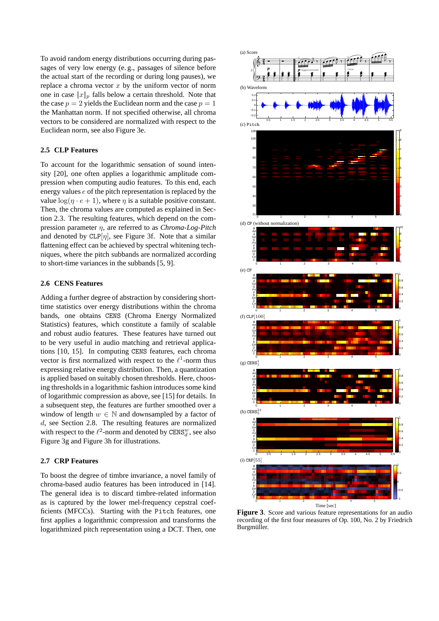To avoid random energy distributions occurring during passages of very low energy (e. g., passages of silence before the actual start of the recording or during long pauses), we replace a chroma vector  $x$  by the uniform vector of norm one in case  $||x||_p$  falls below a certain threshold. Note that the case  $p = 2$  yields the Euclidean norm and the case  $p = 1$ the Manhattan norm. If not specified otherwise, all chroma vectors to be considered are normalized with respect to the Euclidean norm, see also Figure 3e.

## **2.5 CLP Features**

To account for the logarithmic sensation of sound intensity [20], one often applies a logarithmic amplitude compression when computing audio features. To this end, each energy values e of the pitch representation is replaced by the value  $\log(n \cdot e + 1)$ , where *n* is a suitable positive constant. Then, the chroma values are computed as explained in Section 2.3. The resulting features, which depend on the compression parameter η, are referred to as *Chroma-Log-Pitch* and denoted by  $CLP[\eta]$ , see Figure 3f. Note that a similar flattening effect can be achieved by spectral whitening techniques, where the pitch subbands are normalized according to short-time variances in the subbands [5, 9].

## **2.6 CENS Features**

Adding a further degree of abstraction by considering shorttime statistics over energy distributions within the chroma bands, one obtains CENS (Chroma Energy Normalized Statistics) features, which constitute a family of scalable and robust audio features. These features have turned out to be very useful in audio matching and retrieval applications [10, 15]. In computing CENS features, each chroma vector is first normalized with respect to the  $\ell^1$ -norm thus expressing relative energy distribution. Then, a quantization is applied based on suitably chosen thresholds. Here, choosing thresholds in a logarithmic fashion introduces some kind of logarithmic compression as above, see [15] for details. In a subsequent step, the features are further smoothed over a window of length  $w \in \mathbb{N}$  and downsampled by a factor of d, see Section 2.8. The resulting features are normalized with respect to the  $\ell^2$ -norm and denoted by CENS<sup>w</sup>, see also Figure 3g and Figure 3h for illustrations.

## **2.7 CRP Features**

To boost the degree of timbre invariance, a novel family of chroma-based audio features has been introduced in [14]. The general idea is to discard timbre-related information as is captured by the lower mel-frequency cepstral coefficients (MFCCs). Starting with the Pitch features, one first applies a logarithmic compression and transforms the logarithmized pitch representation using a DCT. Then, one



**Figure 3**. Score and various feature representations for an audio recording of the first four measures of Op. 100, No. 2 by Friedrich Burgmüller.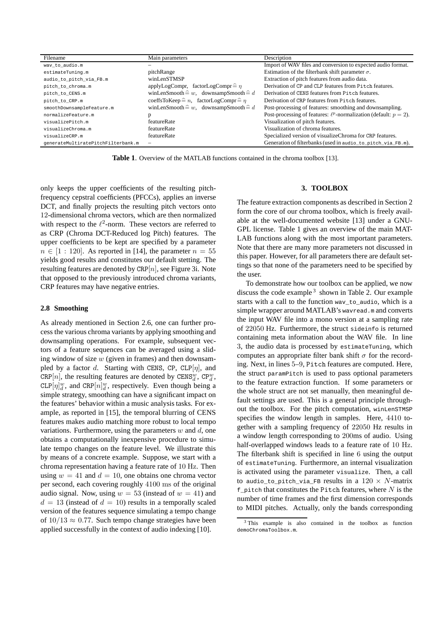| Filename                           | Main parameters                                               | Description                                                               |
|------------------------------------|---------------------------------------------------------------|---------------------------------------------------------------------------|
| way to audio.m                     |                                                               | Import of WAV files and conversion to expected audio format.              |
| estimateTuning.m                   | pitchRange                                                    | Estimation of the filterbank shift parameter $\sigma$ .                   |
| audio_to_pitch_via_FB.m            | winLenSTMSP                                                   | Extraction of pitch features from audio data.                             |
| pitch to chroma.m                  | applyLogCompr, factorLogCompr $\hat{=} \eta$                  | Derivation of CP and CLP features from Pitch features.                    |
| pitch to CENS.m                    | winLenSmooth $\widehat{=} w$ , downsampSmooth $\widehat{=} d$ | Derivation of CENS features from Pitch features.                          |
| pitch to CRP.m                     | coeffsToKeep $\hat{=} n$ , factorLogCompr $\hat{=} n$         | Derivation of CRP features from Pitch features.                           |
| smoothDownsampleFeature.m          | winLenSmooth $\hat{=} w$ , downsampSmooth $\hat{=} d$         | Post-processing of features: smoothing and downsampling.                  |
| normalizeFeature.m                 |                                                               | Post-processing of features: $\ell^p$ -normalization (default: $p = 2$ ). |
| visualizePitch.m                   | featureRate                                                   | Visualization of pitch features.                                          |
| visualizeChroma.m                  | featureRate                                                   | Visualization of chroma features.                                         |
| visualizeCRP.m                     | featureRate                                                   | Specialized version of visualizeChroma for CRP features.                  |
| qenerateMultiratePitchFilterbank.m |                                                               | Generation of filterbanks (used in audio_to_pitch_via_FB.m).              |

**Table 1**. Overview of the MATLAB functions contained in the chroma toolbox [13].

only keeps the upper coefficients of the resulting pitchfrequency cepstral coefficients (PFCCs), applies an inverse DCT, and finally projects the resulting pitch vectors onto 12-dimensional chroma vectors, which are then normalized with respect to the  $\ell^2$ -norm. These vectors are referred to as CRP (Chroma DCT-Reduced log Pitch) features. The upper coefficients to be kept are specified by a parameter  $n \in [1:120]$ . As reported in [14], the parameter  $n = 55$ yields good results and constitutes our default stetting. The resulting features are denoted by  $CRP[n]$ , see Figure 3i. Note that opposed to the previously introduced chroma variants, CRP features may have negative entries.

## **2.8 Smoothing**

As already mentioned in Section 2.6, one can further process the various chroma variants by applying smoothing and downsampling operations. For example, subsequent vectors of a feature sequences can be averaged using a sliding window of size  $w$  (given in frames) and then downsampled by a factor d. Starting with CENS, CP,  $CLP[\eta]$ , and CRP[n], the resulting features are denoted by CENS<sup>w</sup>, CP<sup>w</sup><sub>d</sub>,  $CLP[\eta]_d^w$ , and  $CRP[\eta]_d^w$ , respectively. Even though being a simple strategy, smoothing can have a significant impact on the features' behavior within a music analysis tasks. For example, as reported in [15], the temporal blurring of CENS features makes audio matching more robust to local tempo variations. Furthermore, using the parameters  $w$  and  $d$ , one obtains a computationally inexpensive procedure to simulate tempo changes on the feature level. We illustrate this by means of a concrete example. Suppose, we start with a chroma representation having a feature rate of 10 Hz. Then using  $w = 41$  and  $d = 10$ , one obtains one chroma vector per second, each covering roughly 4100 ms of the original audio signal. Now, using  $w = 53$  (instead of  $w = 41$ ) and  $d = 13$  (instead of  $d = 10$ ) results in a temporally scaled version of the features sequence simulating a tempo change of  $10/13 \approx 0.77$ . Such tempo change strategies have been applied successfully in the context of audio indexing [10].

## **3. TOOLBOX**

The feature extraction components as described in Section 2 form the core of our chroma toolbox, which is freely available at the well-documented website [13] under a GNU-GPL license. Table 1 gives an overview of the main MAT-LAB functions along with the most important parameters. Note that there are many more parameters not discussed in this paper. However, for all parameters there are default settings so that none of the parameters need to be specified by the user.

To demonstrate how our toolbox can be applied, we now discuss the code example  $3$  shown in Table 2. Our example starts with a call to the function wav\_to\_audio, which is a simple wrapper around MATLAB's wavread.m and converts the input WAV file into a mono version at a sampling rate of 22050 Hz. Furthermore, the struct sideinfo is returned containing meta information about the WAV file. In line 3, the audio data is processed by estimateTuning, which computes an appropriate filter bank shift  $\sigma$  for the recording. Next, in lines 5–9, Pitch features are computed. Here, the struct paramPitch is used to pass optional parameters to the feature extraction function. If some parameters or the whole struct are not set manually, then meaningful default settings are used. This is a general principle throughout the toolbox. For the pitch computation, winLenSTMSP specifies the window length in samples. Here, 4410 together with a sampling frequency of 22050 Hz results in a window length corresponding to 200ms of audio. Using half-overlapped windows leads to a feature rate of 10 Hz. The filterbank shift is specified in line 6 using the output of estimateTuning. Furthermore, an internal visualization is activated using the parameter visualize. Then, a call to audio to pitch via FB results in a  $120 \times N$ -matrix  $f$  pitch that constitutes the Pitch features, where  $N$  is the number of time frames and the first dimension corresponds to MIDI pitches. Actually, only the bands corresponding

<sup>3</sup> This example is also contained in the toolbox as function demoChromaToolbox.m.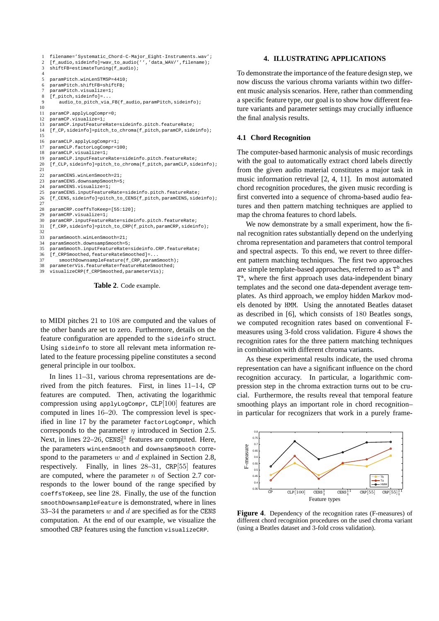```
1 filename='Systematic_Chord-C-Major_Eight-Instruments.wav';
2 [f_audio,sideinfo]=wav_to_audio('','data_WAV/',filename);<br>3 shiftFB=estimateTuning(f audio);
     shiftFB=estimateTuning(f_audio);
\frac{4}{5}5 paramPitch.winLenSTMSP=4410;<br>6 paramPitch.shiftFB=shiftFB;
    paramPitch.shiftFB=shiftFB;
     7 paramPitch.visualize=1;
 8 [f_pitch,sideinfol=
         -<br>audio to pitch via FB(f audio,paramPitch,sideinfo);
10
11 paramCP.applyLogCompr=0;
12 paramCP.visualize=1;<br>13 paramCP.inputFeature
13 paramCP.inputFeatureRate=sideinfo.pitch.featureRate;<br>14 If CP sideinfol=pitch to chroma(f pitch paramCP side
     [f CP, sideinfo]=pitch_to_chroma(f_pitch,paramCP,sideinfo);
15
16 paramCLP.applyLogCompr=1;<br>17 paramCLP.factorLogCompr=1
     17 paramCLP.factorLogCompr=100;
18 paramCLP.visualize=1;<br>19 paramCLP.inputFeature
     19 paramCLP.inputFeatureRate=sideinfo.pitch.featureRate;
20 [f_CLP, sideinfo]=pitch_to_chroma(f_pitch,paramCLP, sideinfo);\frac{21}{22}22 paramCENS.winLenSmooth=21;<br>23 paramCENS.downsampSmooth=5
23 paramCENS.downsampSmooth=5;<br>24 paramCENS visualize=1;
24 paramCENS.visualize=1;<br>25 paramCENS.inputFeature
25 paramCENS.inputFeatureRate=sideinfo.pitch.featureRate;<br>26 If CENS sideinfol=pitch to CENS(f pitch paramCENS side
     [f_CENS, sideinfo]=pitch_to_CENS(f_pitch, paramCENS, sideinfo);
\frac{27}{28}28 paramCRP.coeffsToKeep=[55:120];<br>29 paramCRP.visualize=1;
29 paramCRP.visualize=1;<br>30 paramCRP inputFeature
     paramCRP.inputFeatureRate=sideinfo.pitch.featureRate;
31 [f_CRP,sideinfo]=pitch_to_CRP(f_pitch,paramCRP,sideinfo);
\frac{32}{33}33 paramSmooth.winLenSmooth=21;
34 paramSmooth.downsampSmooth=5;<br>35 paramSmooth_inputFeatureRate=
35 paramSmooth.inputFeatureRate=sideinfo.CRP.featureRate;
     [f_CRPSmoothed,featureRateSmoothed]=...
37 smoothDownsampleFeature(f_CRP,paramSmooth);<br>38 parameterVis featurePate-featurePateSmoothed;
     parameterVis.featureRate=featureRateSmoothed;
39 visualizeCRP(f_CRPSmoothed,parameterVis);
```
**Table 2**. Code example.

to MIDI pitches 21 to 108 are computed and the values of the other bands are set to zero. Furthermore, details on the feature configuration are appended to the sideinfo struct. Using sideinfo to store all relevant meta information related to the feature processing pipeline constitutes a second general principle in our toolbox.

In lines 11–31, various chroma representations are derived from the pitch features. First, in lines 11–14, CP features are computed. Then, activating the logarithmic compression using applyLogCompr, CLP[100] features are computed in lines 16–20. The compression level is specified in line 17 by the parameter factorLogCompr, which corresponds to the parameter  $\eta$  introduced in Section 2.5. Next, in lines  $22-26$ ,  $CENS<sub>5</sub><sup>21</sup>$  features are computed. Here, the parameters winLenSmooth and downsampSmooth correspond to the parameters  $w$  and  $d$  explained in Section 2.8, respectively. Finally, in lines 28–31, CRP[55] features are computed, where the parameter  $n$  of Section 2.7 corresponds to the lower bound of the range specified by coeffsToKeep, see line 28. Finally, the use of the function smoothDownsampleFeature is demonstrated, where in lines 33–34 the parameters  $w$  and  $d$  are specified as for the CENS computation. At the end of our example, we visualize the smoothed CRP features using the function visualizeCRP.

## **4. ILLUSTRATING APPLICATIONS**

To demonstrate the importance of the feature design step, we now discuss the various chroma variants within two different music analysis scenarios. Here, rather than commending a specific feature type, our goal is to show how different feature variants and parameter settings may crucially influence the final analysis results.

#### **4.1 Chord Recognition**

The computer-based harmonic analysis of music recordings with the goal to automatically extract chord labels directly from the given audio material constitutes a major task in music information retrieval [2, 4, 11]. In most automated chord recognition procedures, the given music recording is first converted into a sequence of chroma-based audio features and then pattern matching techniques are applied to map the chroma features to chord labels.

We now demonstrate by a small experiment, how the final recognition rates substantially depend on the underlying chroma representation and parameters that control temporal and spectral aspects. To this end, we revert to three different pattern matching techniques. The first two approaches are simple template-based approaches, referred to as T<sup>b</sup> and T<sup>a</sup>, where the first approach uses data-independent binary templates and the second one data-dependent average templates. As third approach, we employ hidden Markov models denoted by HMM. Using the annotated Beatles dataset as described in [6], which consists of 180 Beatles songs, we computed recognition rates based on conventional Fmeasures using 3-fold cross validation. Figure 4 shows the recognition rates for the three pattern matching techniques in combination with different chroma variants.

As these experimental results indicate, the used chroma representation can have a significant influence on the chord recognition accuracy. In particular, a logarithmic compression step in the chroma extraction turns out to be crucial. Furthermore, the results reveal that temporal feature smoothing plays an important role in chord recognition– in particular for recognizers that work in a purely frame-



**Figure 4**. Dependency of the recognition rates (F-measures) of different chord recognition procedures on the used chroma variant (using a Beatles dataset and 3-fold cross validation).